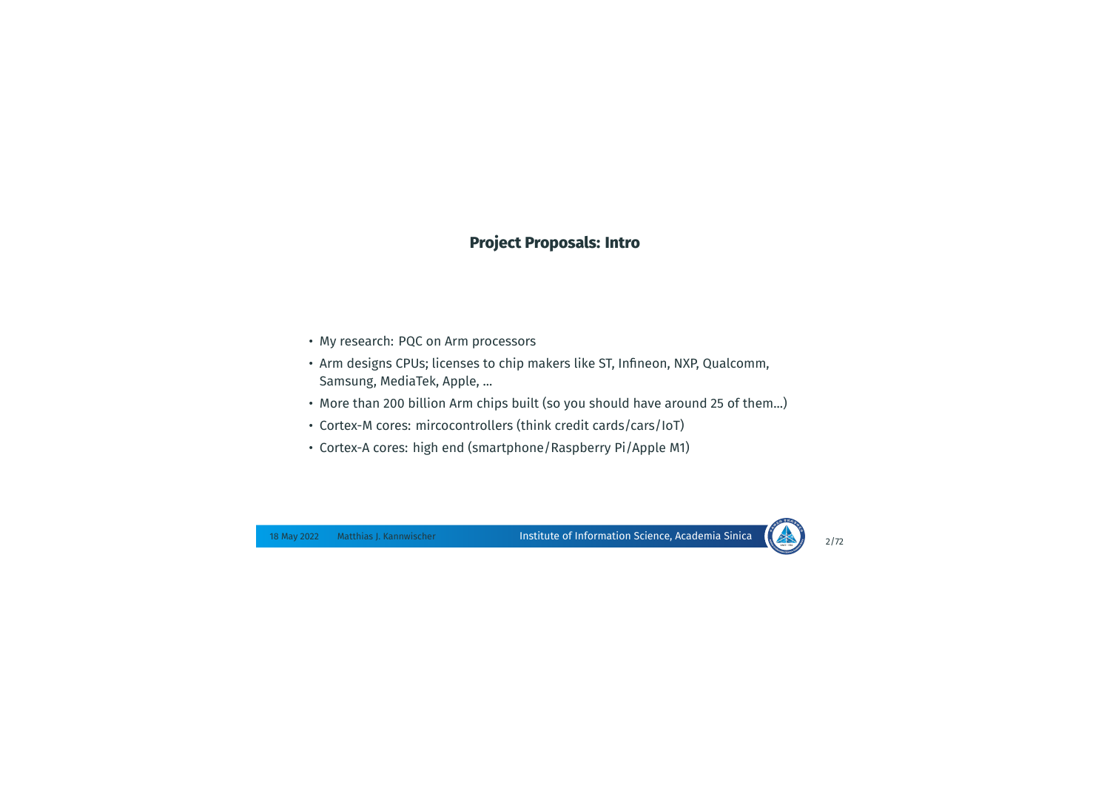## **Project Proposals: Intro**

- My research: PQC on Arm processors
- Arm designs CPUs; licenses to chip makers like ST, Infineon, NXP, Qualcomm, Samsung, MediaTek, Apple, ...
- More than 200 billion Arm chips built (so you should have around 25 of them...)
- Cortex-M cores: mircocontrollers (think credit cards/cars/IoT)
- Cortex-A cores: high end (smartphone/Raspberry Pi/Apple M1)

Institute of Information Science, Academia Sinica 18 May 2022 Matthias J. Kannwischer 2/72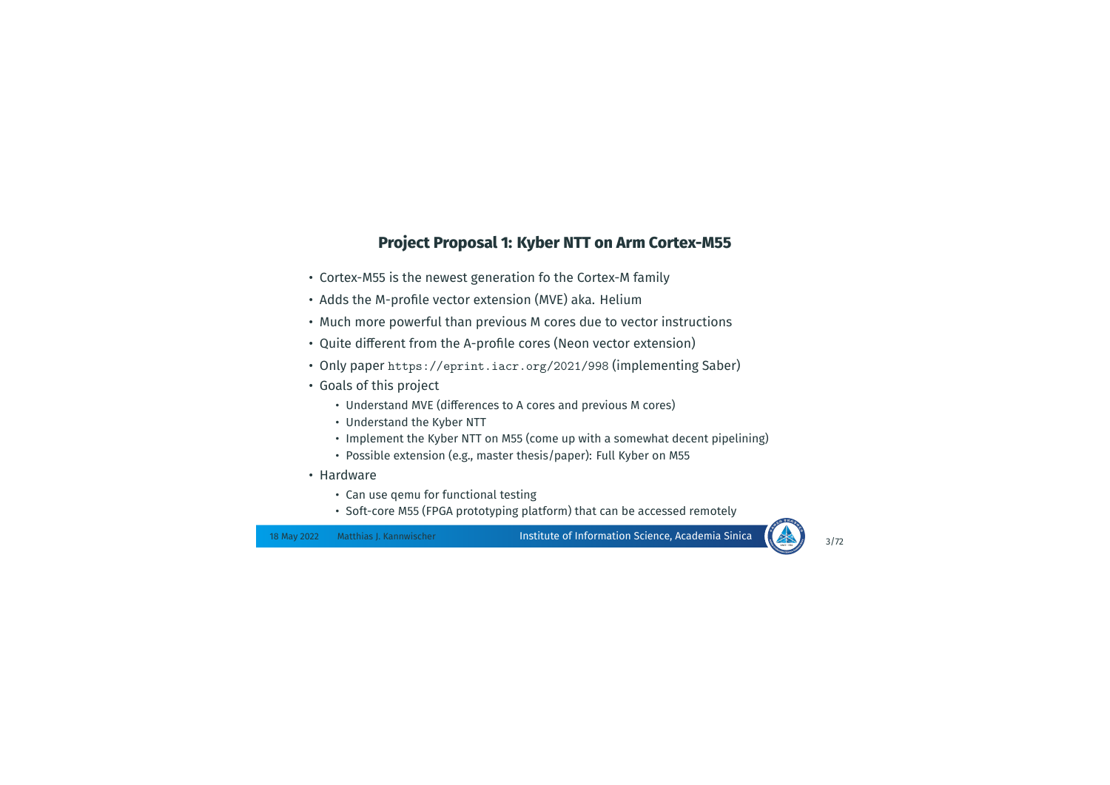## **Project Proposal 1: Kyber NTT on Arm Cortex-M55**

- Cortex-M55 is the newest generation fo the Cortex-M family
- Adds the M-profile vector extension (MVE) aka. Helium
- Much more powerful than previous M cores due to vector instructions
- Quite different from the A-profile cores (Neon vector extension)
- Only paper https://eprint.iacr.org/2021/998 (implementing Saber)
- Goals of this project
	- Understand MVE (differences to A cores and previous M cores)
	- Understand the Kyber NTT
	- Implement the Kyber NTT on M55 (come up with a somewhat decent pipelining)
	- Possible extension (e.g., master thesis/paper): Full Kyber on M55
- Hardware
	- Can use qemu for functional testing
	- Soft-core M55 (FPGA prototyping platform) that can be accessed remotely

Institute of Information Science, Academia Sinica 18 May 2022 Matthias J. Kannwischer 3/72

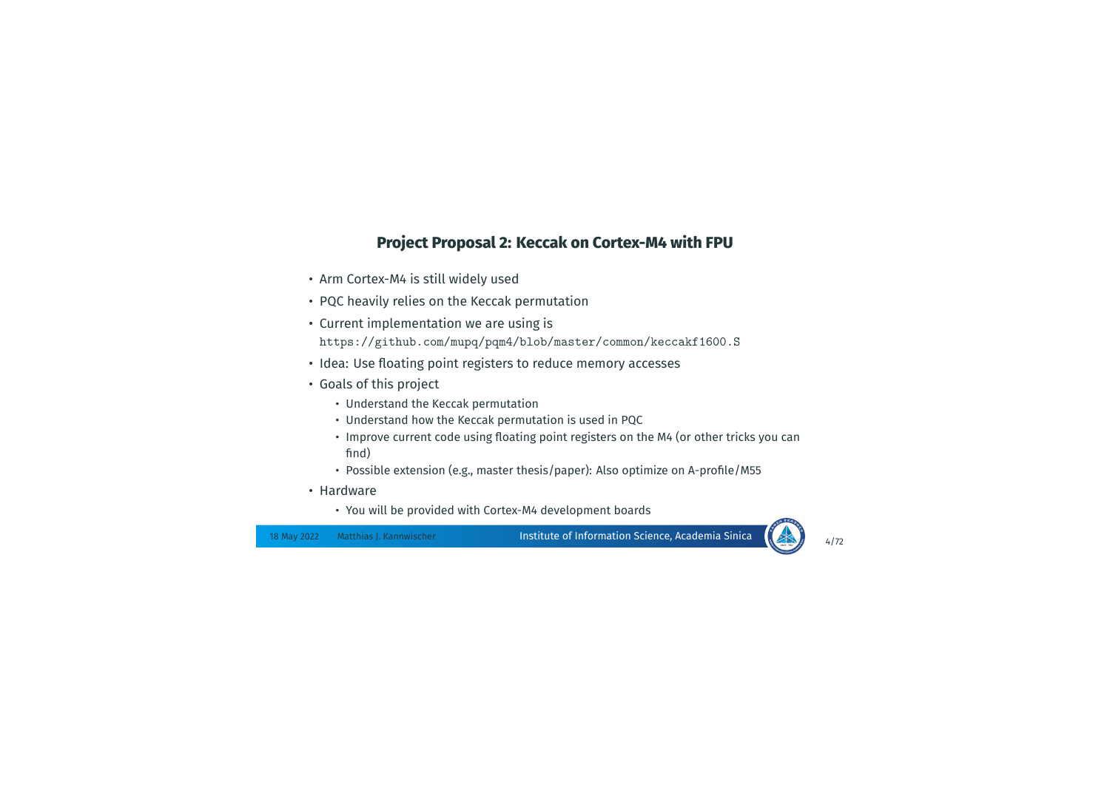## **Project Proposal 2: Keccak on Cortex-M4 with FPU**

- Arm Cortex-M4 is still widely used
- PQC heavily relies on the Keccak permutation
- Current implementation we are using is https://github.com/mupq/pqm4/blob/master/common/keccakf1600.S
- Idea: Use floating point registers to reduce memory accesses
- Goals of this project
	- Understand the Keccak permutation
	- Understand how the Keccak permutation is used in PQC
	- Improve current code using floating point registers on the M4 (or other tricks you can find)
	- Possible extension (e.g., master thesis/paper): Also optimize on A-profile/M55
- Hardware
	- You will be provided with Cortex-M4 development boards